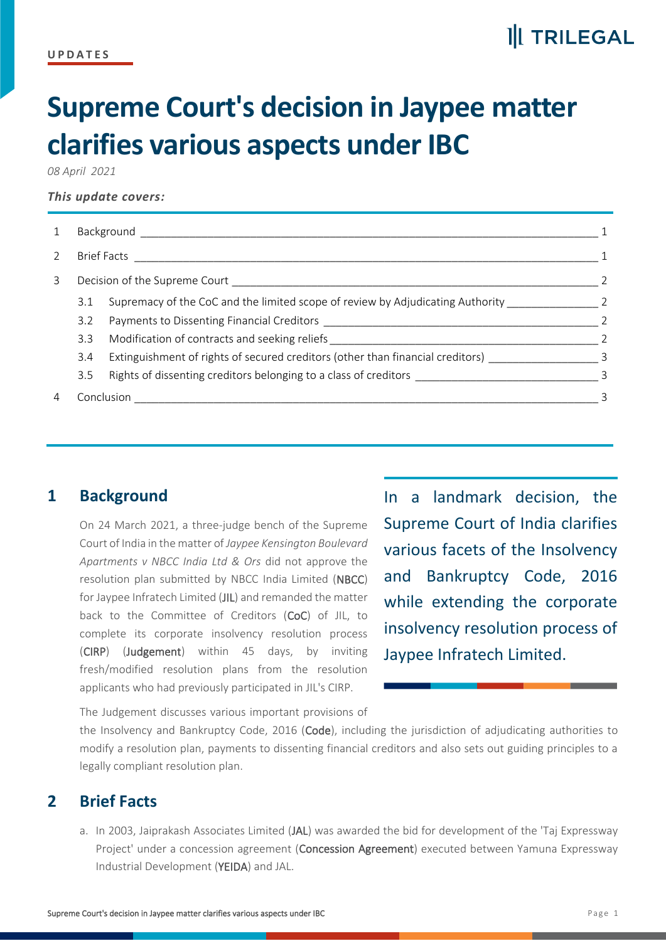# **II** TRILEGAL

# **Supreme Court's decision in Jaypee matter clarifies various aspects under IBC**

*08 April 2021*

#### *This update covers:*

| $\mathbf{1}$ | Background and the contract of the contract of the contract of the contract of the contract of the contract of |                                                                                   |                            |
|--------------|----------------------------------------------------------------------------------------------------------------|-----------------------------------------------------------------------------------|----------------------------|
| 2            | <b>Brief Facts</b>                                                                                             |                                                                                   |                            |
| 3            |                                                                                                                |                                                                                   |                            |
|              | 3.1                                                                                                            | Supremacy of the CoC and the limited scope of review by Adjudicating Authority 2  |                            |
|              | 3.2                                                                                                            |                                                                                   |                            |
|              | 3.3                                                                                                            | Modification of contracts and seeking reliefs ___________________________________ | 2                          |
|              | 3.4                                                                                                            | Extinguishment of rights of secured creditors (other than financial creditors)    | $\overline{\phantom{a}}$ 3 |
|              | 3.5                                                                                                            |                                                                                   |                            |
| 4            | Conclusion                                                                                                     |                                                                                   | 3                          |
|              |                                                                                                                |                                                                                   |                            |

## <span id="page-0-0"></span>**1 Background**

On 24 March 2021, a three-judge bench of the Supreme Court of India in the matter of *Jaypee Kensington Boulevard Apartments v NBCC India Ltd & Ors* did not approve the resolution plan submitted by NBCC India Limited (NBCC) for Jaypee Infratech Limited (JIL) and remanded the matter back to the Committee of Creditors (CoC) of JIL, to complete its corporate insolvency resolution process (CIRP) (Judgement) within 45 days, by inviting fresh/modified resolution plans from the resolution applicants who had previously participated in JIL's CIRP.

In a landmark decision, the Supreme Court of India clarifies various facets of the Insolvency and Bankruptcy Code, 2016 while extending the corporate insolvency resolution process of Jaypee Infratech Limited.

The Judgement discusses various important provisions of

the Insolvency and Bankruptcy Code, 2016 (Code), including the jurisdiction of adjudicating authorities to modify a resolution plan, payments to dissenting financial creditors and also sets out guiding principles to a legally compliant resolution plan.

### <span id="page-0-1"></span>**2 Brief Facts**

a. In 2003, Jaiprakash Associates Limited (JAL) was awarded the bid for development of the 'Taj Expressway Project' under a concession agreement (Concession Agreement) executed between Yamuna Expressway Industrial Development (YEIDA) and JAL.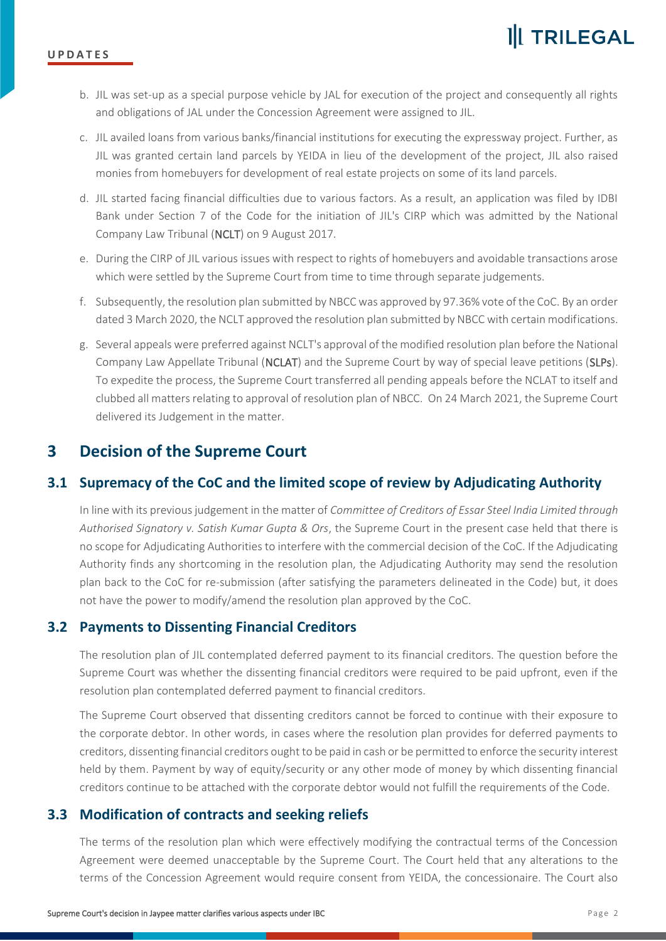

- b. JIL was set-up as a special purpose vehicle by JAL for execution of the project and consequently all rights and obligations of JAL under the Concession Agreement were assigned to JIL.
- c. JIL availed loans from various banks/financial institutions for executing the expressway project. Further, as JIL was granted certain land parcels by YEIDA in lieu of the development of the project, JIL also raised monies from homebuyers for development of real estate projects on some of its land parcels.
- d. JIL started facing financial difficulties due to various factors. As a result, an application was filed by IDBI Bank under Section 7 of the Code for the initiation of JIL's CIRP which was admitted by the National Company Law Tribunal (NCLT) on 9 August 2017.
- e. During the CIRP of JIL various issues with respect to rights of homebuyers and avoidable transactions arose which were settled by the Supreme Court from time to time through separate judgements.
- f. Subsequently, the resolution plan submitted by NBCC was approved by 97.36% vote of the CoC. By an order dated 3 March 2020, the NCLT approved the resolution plan submitted by NBCC with certain modifications.
- g. Several appeals were preferred against NCLT's approval of the modified resolution plan before the National Company Law Appellate Tribunal (NCLAT) and the Supreme Court by way of special leave petitions (SLPs). To expedite the process, the Supreme Court transferred all pending appeals before the NCLAT to itself and clubbed all matters relating to approval of resolution plan of NBCC. On 24 March 2021, the Supreme Court delivered its Judgement in the matter.

# <span id="page-1-0"></span>**3 Decision of the Supreme Court**

#### <span id="page-1-1"></span>**3.1 Supremacy of the CoC and the limited scope of review by Adjudicating Authority**

In line with its previous judgement in the matter of *Committee of Creditors of Essar Steel India Limited through Authorised Signatory v. Satish Kumar Gupta & Ors*, the Supreme Court in the present case held that there is no scope for Adjudicating Authorities to interfere with the commercial decision of the CoC. If the Adjudicating Authority finds any shortcoming in the resolution plan, the Adjudicating Authority may send the resolution plan back to the CoC for re-submission (after satisfying the parameters delineated in the Code) but, it does not have the power to modify/amend the resolution plan approved by the CoC.

#### <span id="page-1-2"></span>**3.2 Payments to Dissenting Financial Creditors**

The resolution plan of JIL contemplated deferred payment to its financial creditors. The question before the Supreme Court was whether the dissenting financial creditors were required to be paid upfront, even if the resolution plan contemplated deferred payment to financial creditors.

The Supreme Court observed that dissenting creditors cannot be forced to continue with their exposure to the corporate debtor. In other words, in cases where the resolution plan provides for deferred payments to creditors, dissenting financial creditors ought to be paid in cash or be permitted to enforce the security interest held by them. Payment by way of equity/security or any other mode of money by which dissenting financial creditors continue to be attached with the corporate debtor would not fulfill the requirements of the Code.

#### <span id="page-1-3"></span>**3.3 Modification of contracts and seeking reliefs**

The terms of the resolution plan which were effectively modifying the contractual terms of the Concession Agreement were deemed unacceptable by the Supreme Court. The Court held that any alterations to the terms of the Concession Agreement would require consent from YEIDA, the concessionaire. The Court also